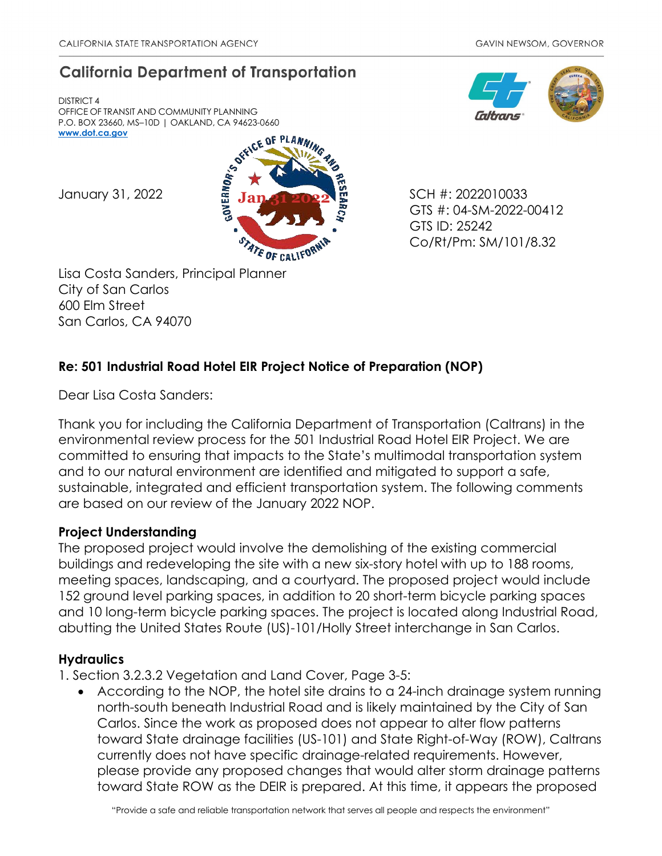# **California Department of Transportation**

DISTRICT 4 OFFICE OF TRANSIT AND COMMUNITY PLANNING P.O. BOX 23660, MS–10D | OAKLAND, CA 94623-0660 **[www.dot.ca.gov](http://www.dot.ca.gov/)**



Lisa Costa Sanders, Principal Planner City of San Carlos 600 Elm Street San Carlos, CA 94070

GTS #: 04-SM-2022-00412 GTS ID: 25242 Co/Rt/Pm: SM/101/8.32

## **Re: 501 Industrial Road Hotel EIR Project Notice of Preparation (NOP)**

Dear Lisa Costa Sanders:

Thank you for including the California Department of Transportation (Caltrans) in the environmental review process for the 501 Industrial Road Hotel EIR Project. We are committed to ensuring that impacts to the State's multimodal transportation system and to our natural environment are identified and mitigated to support a safe, sustainable, integrated and efficient transportation system. The following comments are based on our review of the January 2022 NOP.

## **Project Understanding**

The proposed project would involve the demolishing of the existing commercial buildings and redeveloping the site with a new six-story hotel with up to 188 rooms, meeting spaces, landscaping, and a courtyard. The proposed project would include 152 ground level parking spaces, in addition to 20 short-term bicycle parking spaces and 10 long-term bicycle parking spaces. The project is located along Industrial Road, abutting the United States Route (US)-101/Holly Street interchange in San Carlos.

## **Hydraulics**

1. Section 3.2.3.2 Vegetation and Land Cover, Page 3-5:

According to the NOP, the hotel site drains to a 24-inch drainage system running north-south beneath Industrial Road and is likely maintained by the City of San Carlos. Since the work as proposed does not appear to alter flow patterns toward State drainage facilities (US-101) and State Right-of-Way (ROW), Caltrans currently does not have specific drainage-related requirements. However, please provide any proposed changes that would alter storm drainage patterns toward State ROW as the DEIR is prepared. At this time, it appears the proposed

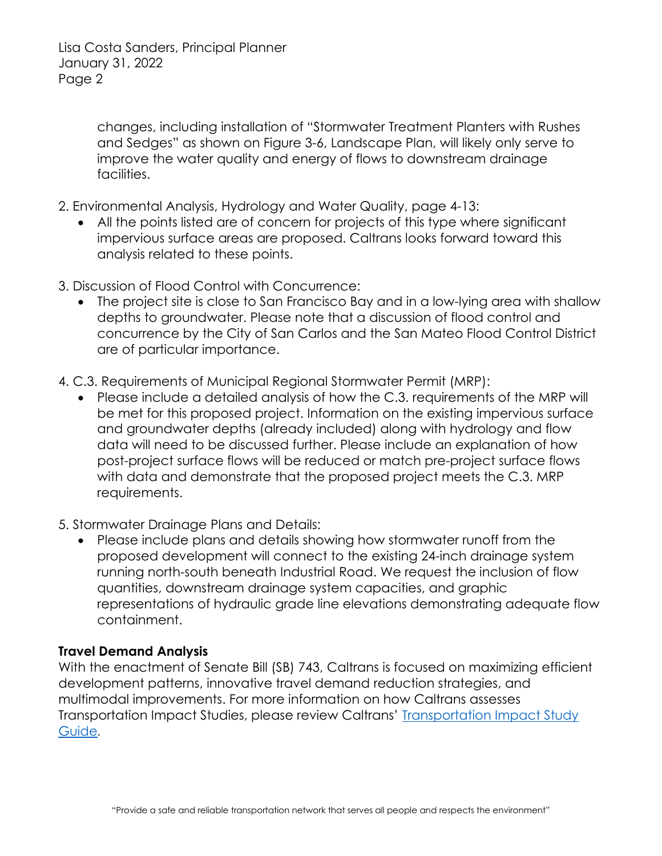Lisa Costa Sanders, Principal Planner January 31, 2022 Page 2

> changes, including installation of "Stormwater Treatment Planters with Rushes and Sedges" as shown on Figure 3-6, Landscape Plan, will likely only serve to improve the water quality and energy of flows to downstream drainage facilities.

- 2. Environmental Analysis, Hydrology and Water Quality, page 4-13:
	- All the points listed are of concern for projects of this type where significant impervious surface areas are proposed. Caltrans looks forward toward this analysis related to these points.
- 3. Discussion of Flood Control with Concurrence:
	- The project site is close to San Francisco Bay and in a low-lying area with shallow depths to groundwater. Please note that a discussion of flood control and concurrence by the City of San Carlos and the San Mateo Flood Control District are of particular importance.
- 4. C.3. Requirements of Municipal Regional Stormwater Permit (MRP):
	- Please include a detailed analysis of how the C.3. requirements of the MRP will be met for this proposed project. Information on the existing impervious surface and groundwater depths (already included) along with hydrology and flow data will need to be discussed further. Please include an explanation of how post-project surface flows will be reduced or match pre-project surface flows with data and demonstrate that the proposed project meets the C.3. MRP requirements.
- 5. Stormwater Drainage Plans and Details:
	- Please include plans and details showing how stormwater runoff from the proposed development will connect to the existing 24-inch drainage system running north-south beneath Industrial Road. We request the inclusion of flow quantities, downstream drainage system capacities, and graphic representations of hydraulic grade line elevations demonstrating adequate flow containment.

#### **Travel Demand Analysis**

With the enactment of Senate Bill (SB) 743, Caltrans is focused on maximizing efficient development patterns, innovative travel demand reduction strategies, and multimodal improvements. For more information on how Caltrans assesses Transportation Impact Studies, please review Caltrans' [Transportation Impact Study](https://dot.ca.gov/-/media/dot-media/programs/transportation-planning/documents/sb-743/2020-05-20-approved-vmt-focused-tisg-a11y.pdf)  [Guide](https://dot.ca.gov/-/media/dot-media/programs/transportation-planning/documents/sb-743/2020-05-20-approved-vmt-focused-tisg-a11y.pdf).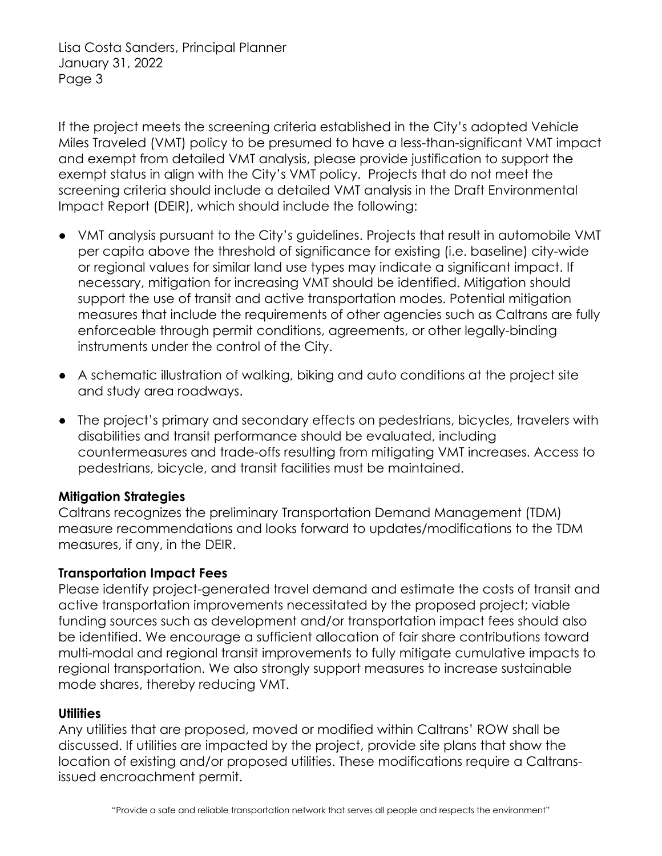Lisa Costa Sanders, Principal Planner January 31, 2022 Page 3

If the project meets the screening criteria established in the City's adopted Vehicle Miles Traveled (VMT) policy to be presumed to have a less-than-significant VMT impact and exempt from detailed VMT analysis, please provide justification to support the exempt status in align with the City's VMT policy. Projects that do not meet the screening criteria should include a detailed VMT analysis in the Draft Environmental Impact Report (DEIR), which should include the following:

- VMT analysis pursuant to the City's guidelines. Projects that result in automobile VMT per capita above the threshold of significance for existing (i.e. baseline) city-wide or regional values for similar land use types may indicate a significant impact. If necessary, mitigation for increasing VMT should be identified. Mitigation should support the use of transit and active transportation modes. Potential mitigation measures that include the requirements of other agencies such as Caltrans are fully enforceable through permit conditions, agreements, or other legally-binding instruments under the control of the City.
- A schematic illustration of walking, biking and auto conditions at the project site and study area roadways.
- The project's primary and secondary effects on pedestrians, bicycles, travelers with disabilities and transit performance should be evaluated, including countermeasures and trade-offs resulting from mitigating VMT increases. Access to pedestrians, bicycle, and transit facilities must be maintained.

## **Mitigation Strategies**

Caltrans recognizes the preliminary Transportation Demand Management (TDM) measure recommendations and looks forward to updates/modifications to the TDM measures, if any, in the DEIR.

## **Transportation Impact Fees**

Please identify project-generated travel demand and estimate the costs of transit and active transportation improvements necessitated by the proposed project; viable funding sources such as development and/or transportation impact fees should also be identified. We encourage a sufficient allocation of fair share contributions toward multi-modal and regional transit improvements to fully mitigate cumulative impacts to regional transportation. We also strongly support measures to increase sustainable mode shares, thereby reducing VMT.

## **Utilities**

Any utilities that are proposed, moved or modified within Caltrans' ROW shall be discussed. If utilities are impacted by the project, provide site plans that show the location of existing and/or proposed utilities. These modifications require a Caltransissued encroachment permit.